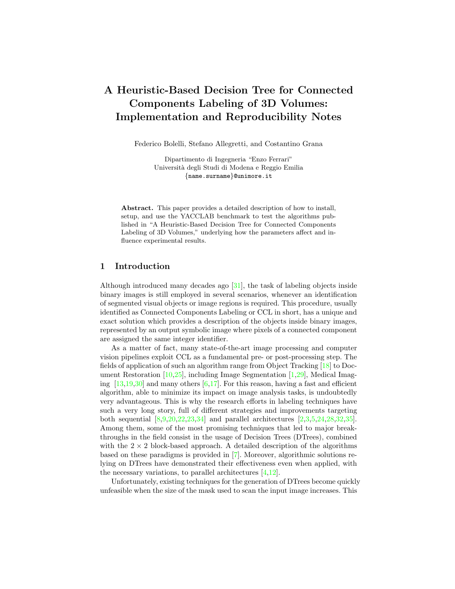# A Heuristic-Based Decision Tree for Connected Components Labeling of 3D Volumes: Implementation and Reproducibility Notes

Federico Bolelli, Stefano Allegretti, and Costantino Grana

Dipartimento di Ingegneria "Enzo Ferrari" Universit`a degli Studi di Modena e Reggio Emilia {name.surname}@unimore.it

Abstract. This paper provides a detailed description of how to install, setup, and use the YACCLAB benchmark to test the algorithms published in "A Heuristic-Based Decision Tree for Connected Components Labeling of 3D Volumes," underlying how the parameters affect and influence experimental results.

## 1 Introduction

Although introduced many decades ago [\[31\]](#page-5-0), the task of labeling objects inside binary images is still employed in several scenarios, whenever an identification of segmented visual objects or image regions is required. This procedure, usually identified as Connected Components Labeling or CCL in short, has a unique and exact solution which provides a description of the objects inside binary images, represented by an output symbolic image where pixels of a connected component are assigned the same integer identifier.

As a matter of fact, many state-of-the-art image processing and computer vision pipelines exploit CCL as a fundamental pre- or post-processing step. The fields of application of such an algorithm range from Object Tracking [\[18\]](#page-4-0) to Document Restoration  $[10,25]$  $[10,25]$ , including Image Segmentation  $[1,29]$  $[1,29]$ , Medical Imaging  $[13,19,30]$  $[13,19,30]$  $[13,19,30]$  and many others  $[6,17]$  $[6,17]$ . For this reason, having a fast and efficient algorithm, able to minimize its impact on image analysis tasks, is undoubtedly very advantageous. This is why the research efforts in labeling techniques have such a very long story, full of different strategies and improvements targeting both sequential [\[8,](#page-4-6)[9,](#page-4-7)[20](#page-5-5)[,22,](#page-5-6)[23,](#page-5-7)[34\]](#page-5-8) and parallel architectures [\[2,](#page-4-8)[3,](#page-4-9)[5,](#page-4-10)[24,](#page-5-9)[28,](#page-5-10)[32,](#page-5-11)[35\]](#page-5-12). Among them, some of the most promising techniques that led to major breakthroughs in the field consist in the usage of Decision Trees (DTrees), combined with the  $2 \times 2$  block-based approach. A detailed description of the algorithms based on these paradigms is provided in [\[7\]](#page-4-11). Moreover, algorithmic solutions relying on DTrees have demonstrated their effectiveness even when applied, with the necessary variations, to parallel architectures [\[4,](#page-4-12)[12\]](#page-4-13).

Unfortunately, existing techniques for the generation of DTrees become quickly unfeasible when the size of the mask used to scan the input image increases. This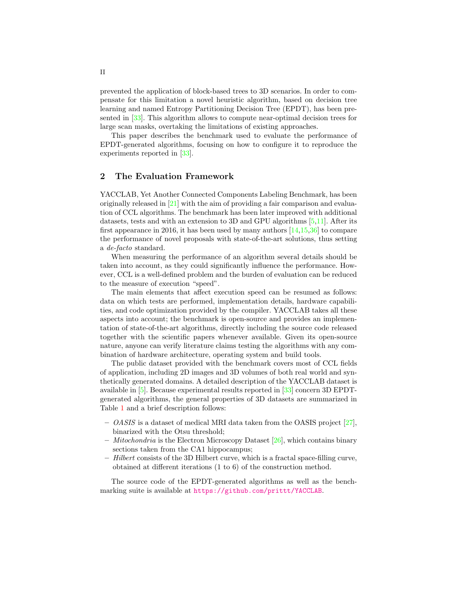prevented the application of block-based trees to 3D scenarios. In order to compensate for this limitation a novel heuristic algorithm, based on decision tree learning and named Entropy Partitioning Decision Tree (EPDT), has been presented in [\[33\]](#page-5-13). This algorithm allows to compute near-optimal decision trees for large scan masks, overtaking the limitations of existing approaches.

This paper describes the benchmark used to evaluate the performance of EPDT-generated algorithms, focusing on how to configure it to reproduce the experiments reported in [\[33\]](#page-5-13).

## <span id="page-1-0"></span>2 The Evaluation Framework

YACCLAB, Yet Another Connected Components Labeling Benchmark, has been originally released in [\[21\]](#page-5-14) with the aim of providing a fair comparison and evaluation of CCL algorithms. The benchmark has been later improved with additional datasets, tests and with an extension to 3D and GPU algorithms [\[5,](#page-4-10)[11\]](#page-4-14). After its first appearance in 2016, it has been used by many authors [\[14,](#page-4-15)[15](#page-4-16)[,36\]](#page-5-15) to compare the performance of novel proposals with state-of-the-art solutions, thus setting a de-facto standard.

When measuring the performance of an algorithm several details should be taken into account, as they could significantly influence the performance. However, CCL is a well-defined problem and the burden of evaluation can be reduced to the measure of execution "speed".

The main elements that affect execution speed can be resumed as follows: data on which tests are performed, implementation details, hardware capabilities, and code optimization provided by the compiler. YACCLAB takes all these aspects into account; the benchmark is open-source and provides an implementation of state-of-the-art algorithms, directly including the source code released together with the scientific papers whenever available. Given its open-source nature, anyone can verify literature claims testing the algorithms with any combination of hardware architecture, operating system and build tools.

The public dataset provided with the benchmark covers most of CCL fields of application, including 2D images and 3D volumes of both real world and synthetically generated domains. A detailed description of the YACCLAB dataset is available in [\[5\]](#page-4-10). Because experimental results reported in [\[33\]](#page-5-13) concern 3D EPDTgenerated algorithms, the general properties of 3D datasets are summarized in Table [1](#page-2-0) and a brief description follows:

- $-$  *OASIS* is a dataset of medical MRI data taken from the OASIS project [\[27\]](#page-5-16), binarized with the Otsu threshold;
- $-$  *Mitochondria* is the Electron Microscopy Dataset  $[26]$ , which contains binary sections taken from the CA1 hippocampus;
- Hilbert consists of the 3D Hilbert curve, which is a fractal space-filling curve, obtained at different iterations (1 to 6) of the construction method.

The source code of the EPDT-generated algorithms as well as the benchmarking suite is available at <https://github.com/prittt/YACCLAB>.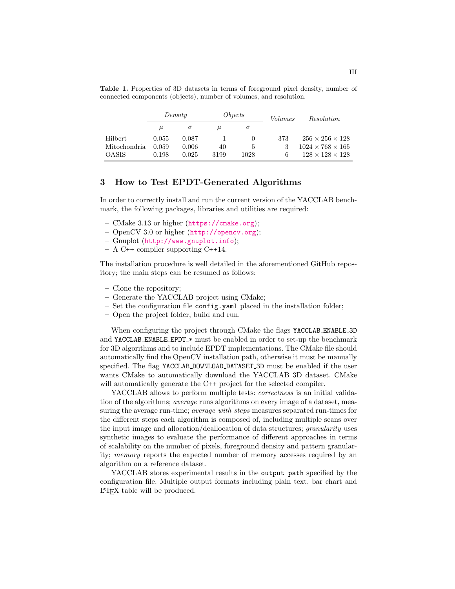|                | Density |          | Objects |      | Volumes | <i>Resolution</i>            |
|----------------|---------|----------|---------|------|---------|------------------------------|
|                | $\mu$   | $\sigma$ | $\mu$   | σ    |         |                              |
| <b>Hilbert</b> | 0.055   | 0.087    |         |      | 373     | $256 \times 256 \times 128$  |
| Mitochondria   | 0.059   | 0.006    | 40      | 5    |         | $1024 \times 768 \times 165$ |
| <b>OASIS</b>   | 0.198   | 0.025    | 3199    | 1028 | 6       | $128 \times 128 \times 128$  |

<span id="page-2-0"></span>Table 1. Properties of 3D datasets in terms of foreground pixel density, number of connected components (objects), number of volumes, and resolution.

### <span id="page-2-1"></span>3 How to Test EPDT-Generated Algorithms

In order to correctly install and run the current version of the YACCLAB benchmark, the following packages, libraries and utilities are required:

- CMake 3.13 or higher (<https://cmake.org>);
- OpenCV 3.0 or higher (<http://opencv.org>);
- Gnuplot (<http://www.gnuplot.info>);
- $A$  C++ compiler supporting C++14.

The installation procedure is well detailed in the aforementioned GitHub repository; the main steps can be resumed as follows:

- Clone the repository;
- Generate the YACCLAB project using CMake;
- Set the configuration file config.yaml placed in the installation folder;
- Open the project folder, build and run.

When configuring the project through CMake the flags YACCLAB ENABLE 3D and YACCLAB ENABLE EPDT\_\* must be enabled in order to set-up the benchmark for 3D algorithms and to include EPDT implementations. The CMake file should automatically find the OpenCV installation path, otherwise it must be manually specified. The flag YACCLAB DOWNLOAD DATASET 3D must be enabled if the user wants CMake to automatically download the YACCLAB 3D dataset. CMake will automatically generate the C++ project for the selected compiler.

YACCLAB allows to perform multiple tests: *correctness* is an initial validation of the algorithms; average runs algorithms on every image of a dataset, measuring the average run-time; *average\_with\_steps* measures separated run-times for the different steps each algorithm is composed of, including multiple scans over the input image and allocation/deallocation of data structures; granularity uses synthetic images to evaluate the performance of different approaches in terms of scalability on the number of pixels, foreground density and pattern granularity; memory reports the expected number of memory accesses required by an algorithm on a reference dataset.

YACCLAB stores experimental results in the output path specified by the configuration file. Multiple output formats including plain text, bar chart and LATEX table will be produced.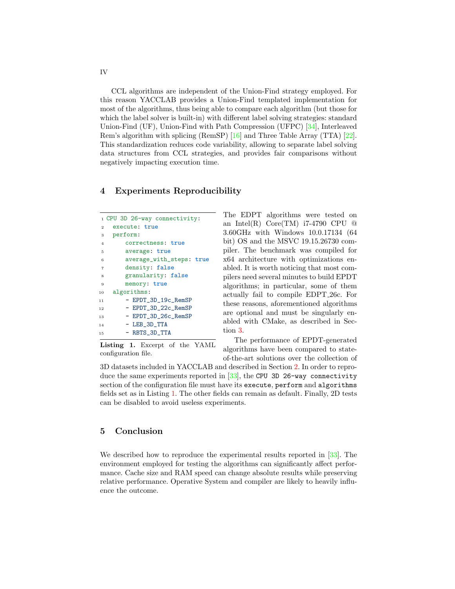CCL algorithms are independent of the Union-Find strategy employed. For this reason YACCLAB provides a Union-Find templated implementation for most of the algorithms, thus being able to compare each algorithm (but those for which the label solver is built-in) with different label solving strategies: standard Union-Find (UF), Union-Find with Path Compression (UFPC) [\[34\]](#page-5-8), Interleaved Rem's algorithm with splicing (RemSP) [\[16\]](#page-4-17) and Three Table Array (TTA) [\[22\]](#page-5-6). This standardization reduces code variability, allowing to separate label solving data structures from CCL strategies, and provides fair comparisons without negatively impacting execution time.

### 4 Experiments Reproducibility

<span id="page-3-0"></span>

|                | 1 CPU 3D 26-way connectivity: |  |  |  |  |  |  |
|----------------|-------------------------------|--|--|--|--|--|--|
|                | execute: true<br>$\mathbf{2}$ |  |  |  |  |  |  |
|                | perform:<br>$3^{\circ}$       |  |  |  |  |  |  |
| $\overline{4}$ | correctness: true             |  |  |  |  |  |  |
| 5              | average: true                 |  |  |  |  |  |  |
| 6              | average_with_steps: true      |  |  |  |  |  |  |
| $\overline{7}$ | density: false                |  |  |  |  |  |  |
| 8              | granularity: false            |  |  |  |  |  |  |
| 9              | memory: true                  |  |  |  |  |  |  |
| 10             | algorithms:                   |  |  |  |  |  |  |
| 11             | - EPDT_3D_19c_RemSP           |  |  |  |  |  |  |
| 12             | - EPDT_3D_22c_RemSP           |  |  |  |  |  |  |
| 13             | - EPDT_3D_26c_RemSP           |  |  |  |  |  |  |
| 14             | $-$ LEB_3D_TTA                |  |  |  |  |  |  |
| 1.5            | - RBTS_3D_TTA                 |  |  |  |  |  |  |

Listing 1. Excerpt of the YAML configuration file.

The EDPT algorithms were tested on an Intel(R)  $Core(TM)$  i7-4790 CPU  $@$ 3.60GHz with Windows 10.0.17134 (64 bit) OS and the MSVC 19.15.26730 compiler. The benchmark was compiled for x64 architecture with optimizations enabled. It is worth noticing that most compilers need several minutes to build EPDT algorithms; in particular, some of them actually fail to compile EDPT 26c. For these reasons, aforementioned algorithms are optional and must be singularly enabled with CMake, as described in Section [3.](#page-2-1)

The performance of EPDT-generated algorithms have been compared to stateof-the-art solutions over the collection of

3D datasets included in YACCLAB and described in Section [2.](#page-1-0) In order to repro-duce the same experiments reported in [\[33\]](#page-5-13), the CPU 3D 26-way connectivity section of the configuration file must have its execute, perform and algorithms fields set as in Listing [1.](#page-3-0) The other fields can remain as default. Finally, 2D tests can be disabled to avoid useless experiments.

## 5 Conclusion

We described how to reproduce the experimental results reported in [\[33\]](#page-5-13). The environment employed for testing the algorithms can significantly affect performance. Cache size and RAM speed can change absolute results while preserving relative performance. Operative System and compiler are likely to heavily influence the outcome.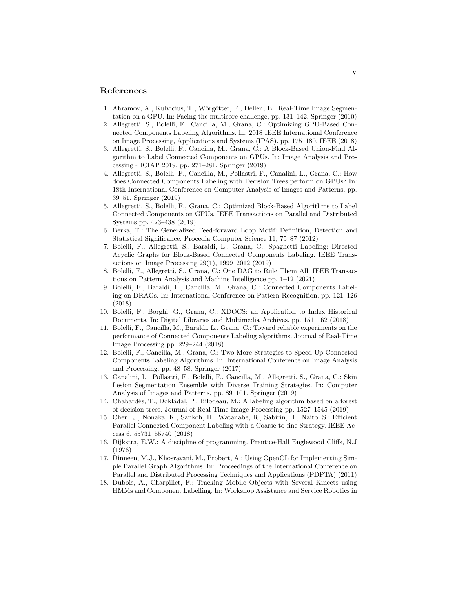#### References

- <span id="page-4-2"></span>1. Abramov, A., Kulvicius, T., Wörgötter, F., Dellen, B.: Real-Time Image Segmentation on a GPU. In: Facing the multicore-challenge, pp. 131–142. Springer (2010)
- <span id="page-4-8"></span>2. Allegretti, S., Bolelli, F., Cancilla, M., Grana, C.: Optimizing GPU-Based Connected Components Labeling Algorithms. In: 2018 IEEE International Conference on Image Processing, Applications and Systems (IPAS). pp. 175–180. IEEE (2018)
- <span id="page-4-9"></span>3. Allegretti, S., Bolelli, F., Cancilla, M., Grana, C.: A Block-Based Union-Find Algorithm to Label Connected Components on GPUs. In: Image Analysis and Processing - ICIAP 2019. pp. 271–281. Springer (2019)
- <span id="page-4-12"></span>4. Allegretti, S., Bolelli, F., Cancilla, M., Pollastri, F., Canalini, L., Grana, C.: How does Connected Components Labeling with Decision Trees perform on GPUs? In: 18th International Conference on Computer Analysis of Images and Patterns. pp. 39–51. Springer (2019)
- <span id="page-4-10"></span>5. Allegretti, S., Bolelli, F., Grana, C.: Optimized Block-Based Algorithms to Label Connected Components on GPUs. IEEE Transactions on Parallel and Distributed Systems pp. 423–438 (2019)
- <span id="page-4-4"></span>6. Berka, T.: The Generalized Feed-forward Loop Motif: Definition, Detection and Statistical Significance. Procedia Computer Science 11, 75–87 (2012)
- <span id="page-4-11"></span>7. Bolelli, F., Allegretti, S., Baraldi, L., Grana, C.: Spaghetti Labeling: Directed Acyclic Graphs for Block-Based Connected Components Labeling. IEEE Transactions on Image Processing 29(1), 1999–2012 (2019)
- <span id="page-4-6"></span>8. Bolelli, F., Allegretti, S., Grana, C.: One DAG to Rule Them All. IEEE Transactions on Pattern Analysis and Machine Intelligence pp. 1–12 (2021)
- <span id="page-4-7"></span>9. Bolelli, F., Baraldi, L., Cancilla, M., Grana, C.: Connected Components Labeling on DRAGs. In: International Conference on Pattern Recognition. pp. 121–126 (2018)
- <span id="page-4-1"></span>10. Bolelli, F., Borghi, G., Grana, C.: XDOCS: an Application to Index Historical Documents. In: Digital Libraries and Multimedia Archives. pp. 151–162 (2018)
- <span id="page-4-14"></span>11. Bolelli, F., Cancilla, M., Baraldi, L., Grana, C.: Toward reliable experiments on the performance of Connected Components Labeling algorithms. Journal of Real-Time Image Processing pp. 229–244 (2018)
- <span id="page-4-13"></span>12. Bolelli, F., Cancilla, M., Grana, C.: Two More Strategies to Speed Up Connected Components Labeling Algorithms. In: International Conference on Image Analysis and Processing. pp. 48–58. Springer (2017)
- <span id="page-4-3"></span>13. Canalini, L., Pollastri, F., Bolelli, F., Cancilla, M., Allegretti, S., Grana, C.: Skin Lesion Segmentation Ensemble with Diverse Training Strategies. In: Computer Analysis of Images and Patterns. pp. 89–101. Springer (2019)
- <span id="page-4-15"></span>14. Chabardès, T., Dokládal, P., Bilodeau, M.: A labeling algorithm based on a forest of decision trees. Journal of Real-Time Image Processing pp. 1527–1545 (2019)
- <span id="page-4-16"></span>15. Chen, J., Nonaka, K., Sankoh, H., Watanabe, R., Sabirin, H., Naito, S.: Efficient Parallel Connected Component Labeling with a Coarse-to-fine Strategy. IEEE Access 6, 55731–55740 (2018)
- <span id="page-4-17"></span>16. Dijkstra, E.W.: A discipline of programming. Prentice-Hall Englewood Cliffs, N.J (1976)
- <span id="page-4-5"></span>17. Dinneen, M.J., Khosravani, M., Probert, A.: Using OpenCL for Implementing Simple Parallel Graph Algorithms. In: Proceedings of the International Conference on Parallel and Distributed Processing Techniques and Applications (PDPTA) (2011)
- <span id="page-4-0"></span>18. Dubois, A., Charpillet, F.: Tracking Mobile Objects with Several Kinects using HMMs and Component Labelling. In: Workshop Assistance and Service Robotics in